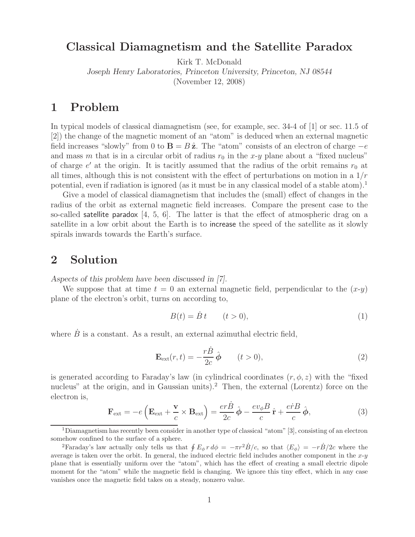#### **Classical Diamagnetism and the Satellite Paradox**

Kirk T. McDonald

*Joseph Henry Laboratories, Princeton University, Princeton, NJ 08544*

(November 12, 2008)

### **1 Problem**

In typical models of classical diamagnetism (see, for example, sec. 34-4 of [1] or sec. 11.5 of [2]) the change of the magnetic moment of an "atom" is deduced when an external magnetic field increases "slowly" from 0 to **B** =  $B\hat{z}$ . The "atom" consists of an electron of charge  $-e$ and mass m that is in a circular orbit of radius  $r_0$  in the x-y plane about a "fixed nucleus" of charge  $e'$  at the origin. It is tacitly assumed that the radius of the orbit remains  $r_0$  at all times, although this is not consistent with the effect of perturbations on motion in a  $1/r$ potential, even if radiation is ignored (as it must be in any classical model of a stable atom).<sup>1</sup>

Give a model of classical diamagnetism that includes the (small) effect of changes in the radius of the orbit as external magnetic field increases. Compare the present case to the so-called satellite paradox [4, 5, 6]. The latter is that the effect of atmospheric drag on a satellite in a low orbit about the Earth is to increase the speed of the satellite as it slowly spirals inwards towards the Earth's surface.

# **2 Solution**

*Aspects of this problem have been discussed in [7].*

We suppose that at time  $t = 0$  an external magnetic field, perpendicular to the  $(x-y)$ plane of the electron's orbit, turns on according to,

$$
B(t) = \dot{B}t \qquad (t > 0),
$$
\n<sup>(1)</sup>

where  $\dot{B}$  is a constant. As a result, an external azimuthal electric field,

$$
\mathbf{E}_{\text{ext}}(r,t) = -\frac{r\dot{B}}{2c}\,\hat{\boldsymbol{\phi}}\qquad(t>0),\tag{2}
$$

is generated according to Faraday's law (in cylindrical coordinates  $(r, \phi, z)$ ) with the "fixed nucleus" at the origin, and in Gaussian units).<sup>2</sup> Then, the external (Lorentz) force on the electron is,

$$
\mathbf{F}_{\text{ext}} = -e \left( \mathbf{E}_{\text{ext}} + \frac{\mathbf{v}}{c} \times \mathbf{B}_{\text{ext}} \right) = \frac{er \dot{B}}{2c} \hat{\boldsymbol{\phi}} - \frac{ev_{\phi} B}{c} \hat{\mathbf{r}} + \frac{er \dot{B}}{c} \hat{\boldsymbol{\phi}}, \tag{3}
$$

<sup>1</sup>Diamagnetism has recently been consider in another type of classical "atom" [3], consisting of an electron somehow confined to the surface of a sphere.

<sup>&</sup>lt;sup>2</sup>Faraday's law actually only tells us that  $\oint E_{\phi} r d\phi = -\pi r^2 \dot{B}/c$ , so that  $\langle E_{\phi} \rangle = -r\dot{B}/2c$  where the average is taken over the orbit. In general, the induced electric field includes another component in the  $x-y$ plane that is essentially uniform over the "atom", which has the effect of creating a small electric dipole moment for the "atom" while the magnetic field is changing. We ignore this tiny effect, which in any case vanishes once the magnetic field takes on a steady, nonzero value.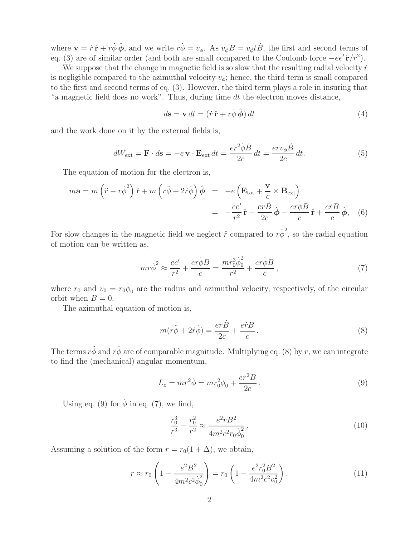where  $\mathbf{v} = \dot{r} \hat{\mathbf{r}} + r \dot{\phi} \hat{\phi}$ , and we write  $r \dot{\phi} = v_{\phi}$ . As  $v_{\phi} B = v_{\phi} t \dot{B}$ , the first and second terms of eq. (3) are of similar order (and both are small compared to the Coulomb force  $-ee' \hat{\bf r}/r^2$ ).

We suppose that the change in magnetic field is so slow that the resulting radial velocity  $\dot{r}$ is negligible compared to the azimuthal velocity  $v_{\phi}$ ; hence, the third term is small compared to the first and second terms of eq. (3). However, the third term plays a role in insuring that "a magnetic field does no work". Thus, during time dt the electron moves distance,

$$
d\mathbf{s} = \mathbf{v} dt = (\dot{r}\,\hat{\mathbf{r}} + r\dot{\phi}\,\hat{\boldsymbol{\phi}}) dt \tag{4}
$$

and the work done on it by the external fields is,

$$
dW_{\text{ext}} = \mathbf{F} \cdot d\mathbf{s} = -e \mathbf{v} \cdot \mathbf{E}_{\text{ext}} dt = \frac{er^2 \dot{\phi} \dot{B}}{2c} dt = \frac{erv_{\phi} \dot{B}}{2c} dt.
$$
 (5)

The equation of motion for the electron is,

$$
m\mathbf{a} = m\left(\ddot{r} - r\dot{\phi}^2\right)\hat{\mathbf{r}} + m\left(r\ddot{\phi} + 2\dot{r}\dot{\phi}\right)\hat{\boldsymbol{\phi}} = -e\left(\mathbf{E}_{\text{tot}} + \frac{\mathbf{v}}{c} \times \mathbf{B}_{\text{ext}}\right)
$$

$$
= -\frac{ee'}{r^2}\hat{\mathbf{r}} + \frac{er\dot{B}}{2c}\hat{\boldsymbol{\phi}} - \frac{er\dot{\phi}B}{c}\hat{\mathbf{r}} + \frac{er\dot{B}}{c}\hat{\boldsymbol{\phi}}, \quad (6)
$$

For slow changes in the magnetic field we neglect  $\ddot{r}$  compared to  $r\dot{\phi}^2$ , so the radial equation of motion can be written as,

$$
mr\dot{\phi}^2 \approx \frac{ee'}{r^2} + \frac{er\dot{\phi}B}{c} = \frac{mr_0^3\dot{\phi}_0^2}{r^2} + \frac{er\dot{\phi}B}{c},\qquad(7)
$$

where  $r_0$  and  $v_0 = r_0 \dot{\phi}_0$  are the radius and azimuthal velocity, respectively, of the circular orbit when  $B = 0$ .

The azimuthal equation of motion is,

$$
m(r\ddot{\phi} + 2\dot{r}\dot{\phi}) = \frac{er\dot{B}}{2c} + \frac{er\dot{B}}{c}.
$$
 (8)

The terms  $r\ddot{\phi}$  and  $\dot{r}\dot{\phi}$  are of comparable magnitude. Multiplying eq. (8) by r, we can integrate to find the (mechanical) angular momentum,

$$
L_z = mr^2 \dot{\phi} = mr_0^2 \dot{\phi}_0 + \frac{er^2 B}{2c}.
$$
\n(9)

Using eq. (9) for  $\dot{\phi}$  in eq. (7), we find,

$$
\frac{r_0^3}{r^3} - \frac{r_0^2}{r^2} \approx \frac{e^2 r B^2}{4m^2 c^2 r_0 \dot{\phi}_0^2}.
$$
\n(10)

Assuming a solution of the form  $r = r_0(1 + \Delta)$ , we obtain,

$$
r \approx r_0 \left( 1 - \frac{e^2 B^2}{4m^2 c^2 \dot{\phi}_0^2} \right) = r_0 \left( 1 - \frac{e^2 r_0^2 B^2}{4m^2 c^2 v_0^2} \right). \tag{11}
$$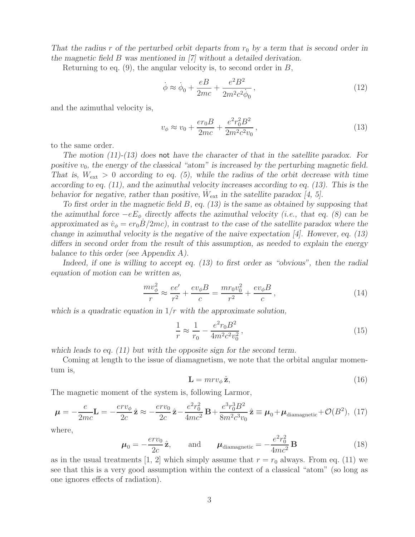*That the radius* r of the perturbed orbit departs from  $r_0$  by a term that is second order in *the magnetic field* B *was mentioned in [7] without a detailed derivation.*

Returning to eq.  $(9)$ , the angular velocity is, to second order in B,

$$
\dot{\phi} \approx \dot{\phi}_0 + \frac{eB}{2mc} + \frac{e^2B^2}{2m^2c^2\dot{\phi}_0},\tag{12}
$$

and the azimuthal velocity is,

$$
v_{\phi} \approx v_0 + \frac{er_0 B}{2mc} + \frac{e^2 r_0^2 B^2}{2m^2 c^2 v_0},\tag{13}
$$

to the same order.

*The motion (11)-(13) does* not *have the character of that in the satellite paradox. For* positive  $v_0$ , the energy of the classical "atom" is increased by the perturbing magnetic field. *That is,*  $W_{\text{ext}} > 0$  *according to eq.* (5), while the radius of the orbit decrease with time *according to eq. (11), and the azimuthal velocity increases according to eq. (13). This is the behavior for negative, rather than positive,*  $W_{\text{ext}}$  *in the satellite paradox* [4, 5].

*To first order in the magnetic field* B*, eq. (13) is the same as obtained by supposing that the azimuthal force*  $-eE_{\phi}$  *directly affects the azimuthal velocity (i.e., that eq. (8) can be approximated as*  $\dot{v}_\phi = er_0B/2mc$ , in contrast to the case of the satellite paradox where the *change in azimuthal velocity is the negative of the naive expectation [4]. However, eq. (13) differs in second order from the result of this assumption, as needed to explain the energy balance to this order (see Appendix A).*

*Indeed, if one is willing to accept eq. (13) to first order as "obvious", then the radial equation of motion can be written as,*

$$
\frac{mv_{\phi}^{2}}{r} \approx \frac{ee'}{r^{2}} + \frac{ev_{\phi}B}{c} = \frac{mr_{0}v_{0}^{2}}{r^{2}} + \frac{ev_{\phi}B}{c},\qquad(14)
$$

*which is a quadratic equation in* 1/r *with the approximate solution,*

$$
\frac{1}{r} \approx \frac{1}{r_0} - \frac{e^2 r_0 B^2}{4m^2 c^2 v_0^2},\tag{15}
$$

*which leads to eq. (11) but with the opposite sign for the second term.*

Coming at length to the issue of diamagnetism, we note that the orbital angular momentum is,

$$
\mathbf{L} = mrv_{\phi}\,\hat{\mathbf{z}},\tag{16}
$$

The magnetic moment of the system is, following Larmor,

$$
\mu = -\frac{e}{2mc} \mathbf{L} = -\frac{erv_{\phi}}{2c} \hat{\mathbf{z}} \approx -\frac{erv_{0}}{2c} \hat{\mathbf{z}} - \frac{e^{2}r_{0}^{2}}{4mc^{2}} \mathbf{B} + \frac{e^{3}r_{0}^{3}B^{2}}{8m^{2}c^{3}v_{0}} \hat{\mathbf{z}} \equiv \mu_{0} + \mu_{\text{diamagnetic}} + \mathcal{O}(B^{2}), \tag{17}
$$

where,

$$
\boldsymbol{\mu}_0 = -\frac{erv_0}{2c}\hat{\mathbf{z}}, \quad \text{and} \quad \boldsymbol{\mu}_{\text{diamagnetic}} = -\frac{e^2r_0^2}{4mc^2}\mathbf{B}
$$
 (18)

as in the usual treatments [1, 2] which simply assume that  $r = r_0$  always. From eq. (11) we see that this is a very good assumption within the context of a classical "atom" (so long as one ignores effects of radiation).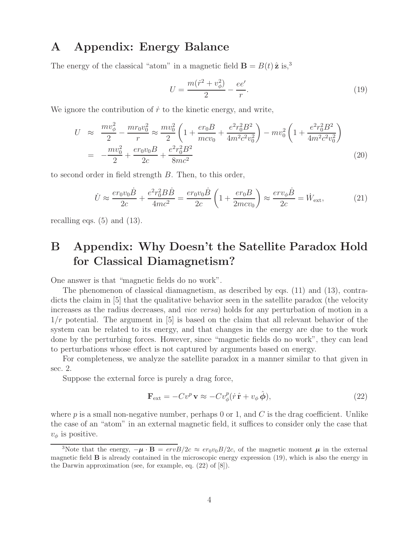### **A Appendix: Energy Balance**

The energy of the classical "atom" in a magnetic field  $\mathbf{B} = B(t)\hat{\mathbf{z}}$  is,<sup>3</sup>

$$
U = \frac{m(\dot{r}^2 + v_{\phi}^2)}{2} - \frac{ee'}{r}.
$$
\n(19)

We ignore the contribution of  $\dot{r}$  to the kinetic energy, and write,

$$
U \approx \frac{mv_{\phi}^2}{2} - \frac{mr_0v_0^2}{r} \approx \frac{mv_0^2}{2} \left( 1 + \frac{er_0B}{mcv_0} + \frac{e^2r_0^2B^2}{4m^2c^2v_0^2} \right) - mv_0^2 \left( 1 + \frac{e^2r_0^2B^2}{4m^2c^2v_0^2} \right)
$$
  
= 
$$
-\frac{mv_0^2}{2} + \frac{er_0v_0B}{2c} + \frac{e^2r_0^2B^2}{8mc^2}
$$
 (20)

to second order in field strength B. Then, to this order,

$$
\dot{U} \approx \frac{er_0 v_0 \dot{B}}{2c} + \frac{e^2 r_0^2 B \dot{B}}{4mc^2} = \frac{er_0 v_0 \dot{B}}{2c} \left(1 + \frac{er_0 B}{2mcv_0}\right) \approx \frac{er v_\phi \dot{B}}{2c} = \dot{W}_{\text{ext}},\tag{21}
$$

recalling eqs.  $(5)$  and  $(13)$ .

# **B Appendix: Why Doesn't the Satellite Paradox Hold for Classical Diamagnetism?**

One answer is that "magnetic fields do no work".

The phenomenon of classical diamagnetism, as described by eqs. (11) and (13), contradicts the claim in [5] that the qualitative behavior seen in the satellite paradox (the velocity increases as the radius decreases, and *vice versa*) holds for any perturbation of motion in a  $1/r$  potential. The argument in [5] is based on the claim that all relevant behavior of the system can be related to its energy, and that changes in the energy are due to the work done by the perturbing forces. However, since "magnetic fields do no work", they can lead to perturbations whose effect is not captured by arguments based on energy.

For completeness, we analyze the satellite paradox in a manner similar to that given in sec. 2.

Suppose the external force is purely a drag force,

$$
\mathbf{F}_{\text{ext}} = -Cv^p \mathbf{v} \approx -Cv^p_{\phi}(\dot{r}\,\hat{\mathbf{r}} + v_{\phi}\,\hat{\boldsymbol{\phi}}),\tag{22}
$$

where p is a small non-negative number, perhaps 0 or 1, and  $C$  is the drag coefficient. Unlike the case of an "atom" in an external magnetic field, it suffices to consider only the case that  $v_{\phi}$  is positive.

<sup>&</sup>lt;sup>3</sup>Note that the energy,  $-\mu \cdot \mathbf{B} = \frac{e r v B}{2c} \approx \frac{e r_0 v_0 B}{2c}$ , of the magnetic moment  $\mu$  in the external magnetic field **B** is already contained in the microscopic energy expression (19), which is also the energy in the Darwin approximation (see, for example, eq. (22) of [8]).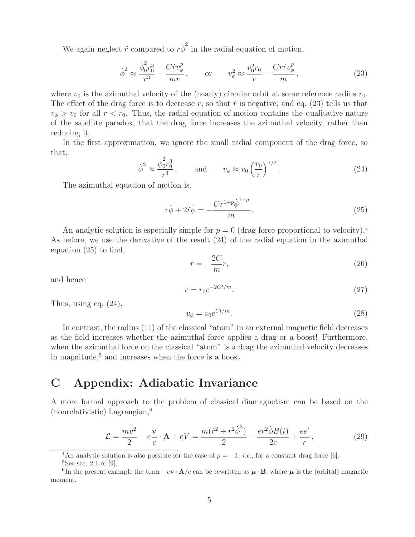We again neglect  $\ddot{r}$  compared to  $r\dot{\phi}^2$  in the radial equation of motion,

$$
\dot{\phi}^2 \approx \frac{\dot{\phi}_0^2 r_0^3}{r^3} - \frac{C \dot{r} v_\phi^p}{mr}, \qquad \text{or} \qquad v_\phi^2 \approx \frac{v_0^2 r_0}{r} - \frac{C r \dot{r} v_\phi^p}{m}, \tag{23}
$$

where  $v_0$  is the azimuthal velocity of the (nearly) circular orbit at some reference radius  $r_0$ . The effect of the drag force is to decrease r, so that  $\dot{r}$  is negative, and eq. (23) tells us that  $v_{\phi} > v_0$  for all  $r < r_0$ . Thus, the radial equation of motion contains the qualitative nature of the satellite paradox, that the drag force increases the azimuthal velocity, rather than reducing it.

In the first approximation, we ignore the small radial component of the drag force, so that,

$$
\dot{\phi}^2 \approx \frac{\dot{\phi}_0^2 r_0^3}{r^3}, \quad \text{and} \quad v_\phi \approx v_0 \left(\frac{r_0}{r}\right)^{1/2}.
$$
 (24)

The azimuthal equation of motion is,

$$
r\ddot{\phi} + 2\dot{r}\dot{\phi} = -\frac{Cr^{1+p}\dot{\phi}^{1+p}}{m}.
$$
\n(25)

An analytic solution is especially simple for  $p = 0$  (drag force proportional to velocity).<sup>4</sup> As before, we use the derivative of the result (24) of the radial equation in the azimuthal equation (25) to find,

$$
\dot{r} = -\frac{2C}{m}r,\tag{26}
$$

and hence

$$
r = r_0 e^{-2Ct/m}.\tag{27}
$$

Thus, using eq. (24),

$$
v_{\phi} = v_0 e^{Ct/m}.\tag{28}
$$

In contrast, the radius (11) of the classical "atom" in an external magnetic field decreases as the field increases whether the azimuthal force applies a drag or a boost! Furthermore, when the azimuthal force on the classical "atom" is a drag the azimuthal velocity decreases in magnitude, $5$  and increases when the force is a boost.

# **C Appendix: Adiabatic Invariance**

A more formal approach to the problem of classical diamagnetism can be based on the  $(nonrelativistic)$  Lagrangian,<sup>6</sup>

$$
\mathcal{L} = \frac{mv^2}{2} - e\frac{\mathbf{v}}{c} \cdot \mathbf{A} + eV = \frac{m(\dot{r}^2 + r^2\dot{\phi}^2)}{2} - \frac{er^2\dot{\phi}B(t)}{2c} + \frac{ee'}{r},\tag{29}
$$

<sup>4</sup>An analytic solution is also possible for the case of  $p = -1$ , *i.e.*, for a constant drag force [6].

 ${}^{5}$ See sec. 2.1 of [9].

<sup>&</sup>lt;sup>6</sup>In the present example the term  $-e\mathbf{v} \cdot \mathbf{A}/c$  can be rewritten as  $\mu \cdot \mathbf{B}$ , where  $\mu$  is the (orbital) magnetic moment.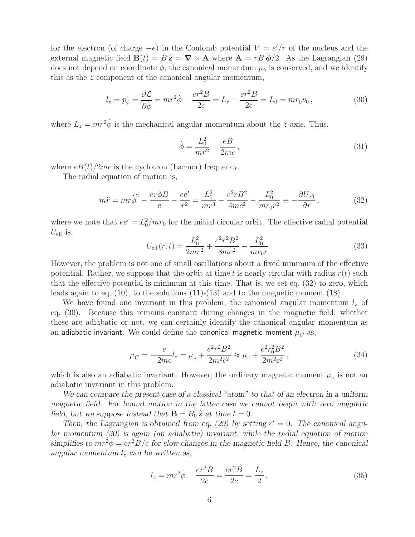for the electron (of charge  $-e$ ) in the Coulomb potential  $V = e'/r$  of the nucleus and the external magnetic field  $\mathbf{B}(t) = B\hat{\mathbf{z}} = \nabla \times \mathbf{A}$  where  $\mathbf{A} = rB\hat{\boldsymbol{\phi}}/2$ . As the Lagrangian (29) does not depend on coordinate  $\phi$ , the canonical momentum  $p_{\phi}$  is conserved, and we identify this as the z component of the canonical angular momentum,

$$
l_z = p_{\phi} = \frac{\partial \mathcal{L}}{\partial \dot{\phi}} = mr^2 \dot{\phi} - \frac{er^2 B}{2c} = L_z - \frac{er^2 B}{2c} = L_0 = mr_0 v_0, \qquad (30)
$$

where  $L_z = mr^2 \dot{\phi}$  is the mechanical angular momentum about the z axis. Thus,

$$
\dot{\phi} = \frac{L_0^2}{mr^2} + \frac{eB}{2mc},
$$
\n(31)

where  $eB(t)/2mc$  is the cyclotron (Larmor) frequency.

The radial equation of motion is,

$$
m\ddot{r} = mr\dot{\phi}^2 - \frac{er\dot{\phi}B}{c} - \frac{ee'}{r^2} = \frac{L_0^2}{mr^3} - \frac{e^2rB^2}{4mc^2} - \frac{L_0^2}{mr_0r^2} = -\frac{\partial U_{\text{eff}}}{\partial r},\tag{32}
$$

where we note that  $ee' = L_0^2/mr_0$  for the initial circular orbit. The effective radial potential  $U_{\text{eff}}$  is,

$$
U_{\text{eff}}(r,t) = \frac{L_0^2}{2mr^2} + \frac{e^2r^2B^2}{8mc^2} - \frac{L_0^2}{mr_0r}.
$$
\n(33)

However, the problem is not one of small oscillations about a fixed minimum of the effective potential. Rather, we suppose that the orbit at time t is nearly circular with radius  $r(t)$  such that the effective potential is minimum at this time. That is, we set eq. (32) to zero, which leads again to eq. (10), to the solutions (11)-(13) and to the magnetic moment (18).

We have found one invariant in this problem, the canonical angular momentum  $l_z$  of eq. (30). Because this remains constant during changes in the magnetic field, whether these are adiabatic or not, we can certainly identify the canonical angular momentum as an adiabatic invariant. We could define the canonical magnetic moment  $\mu_C$  as,

$$
\mu_C = -\frac{e}{2mc}l_z = \mu_z + \frac{e^2r^2B^2}{2m^2c^2} \approx \mu_z + \frac{e^2r_0^2B^2}{2m^2c^2},\tag{34}
$$

which is also an adiabatic invariant. However, the ordinary magnetic moment  $\mu_z$  is not an adiabatic invariant in this problem.

*We can compare the present case of a classical "atom" to that of an electron in a uniform magnetic field. For bound motion in the latter case we cannot begin with zero magnetic field, but we suppose instead that*  $\mathbf{B} = B_0 \hat{\mathbf{z}}$  *at time*  $t = 0$ *.* 

Then, the Lagrangian is obtained from eq. (29) by setting  $e' = 0$ . The canonical angu*lar momentum (30) is again (an adiabatic) invariant, while the radial equation of motion*  $simplifies to  $mr^2\phi = er^2B/c$  for slow changes in the magnetic field B. Hence, the canonical$ angular momentum  $l_z$  can be written as,

$$
l_z = mr^2 \dot{\phi} - \frac{er^2 B}{2c} = \frac{er^2 B}{2c} = \frac{L_z}{2},
$$
\n(35)